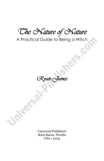*The Nature of Nature* 

A Practical Guide to Being a Witch

*Ryan James* 

Universal Publishers Boca Raton, Florida USA • 2005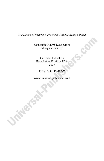#### *The Nature of Nature: A Practical Guide to Being a Witch*

Copyright © 2005 Ryan James All rights reserved.

Universal Publishers Boca Raton, Florida • USA 2005

ISBN: 1-58112-497-X

www.universal-publishers.com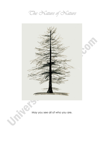*The Nature of Nature* 



May you see all of who you are.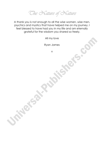*The Nature of Nature* 

A thank you is not enough to all the wise women, wise men, psychics and mystics that have helped me on my journey. I feel blessed to have had you in my life and am eternally grateful for the wisdom you shared so freely.

All my love

Ryan James

x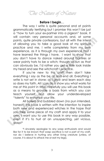*The Nature of Nature* 

#### **Before I begin**…

 The way I write is quite personal and at points grammatically terrifying but I promise this won't be just a "how to turn your ex-partner into a pigeon" book. It will contain very personal accounts and, at some points, quite private confessions, but all with the intent of allowing you to take a good look at my spiritual practice and me. I write completely from my own experience, as it is through my own experience that I have learned the things I have. I want to show that you don't have to dance naked around bonfires or wear pointy hats to be a witch; though, as fun as that can obviously be, I'd rather you get a little look inside my head and see the witchcraft I practice.

If you're new to this craft then don't take everything I say as the be all and end all. Everything I write is not set in stone; as I grow and learn each day so does my faith. All I can do is show you what works for me *at this point in time*. Hopefully you will use this book as a means to provide a basis from which you can teach yourself and allow your underdeveloped "talents" to enhance your life.

All boiled and bubbled down (no pun intended, honest!) this book is written with the intention to inspire both new and experienced witches in the hope that you take some piece of my craft and apply it to your own. I want you to use this book in any way possible, even if it's to hurl at an unsuspecting, yet vicious, wasp!\*

\*I sincerely apologise to any wasp enthusiasts and would like for it to be known that wasp sacrifice is not a part of my craft, nor do I believe in hurting any other living creature (unless, of course, it is about to attack me or eat my legs).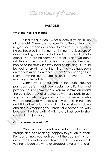*The Nature of Nature* 

#### **PART ONE**

#### **What the Hell Is a Witch?**

 It is a fair question – what exactly is my definition of a witch? There are no specific criteria, rituals, or religious ceremonies you need to carry out. Every witch I know has a built-in instinct; an instinct that is aware of its surroundings, aware of itself, and has a need to help others. There are no secret handshakes and we don't ask that you learn Latin or hang around on beaches hoping to be struck by stray bolts of lightning. It would be best to forget most of the things that you have seen on the television, as witches are not "charmed" (in fact I am anything but charming until I have had my morning caffeine fix!).

Witchcraft is about finding the truth; growing past your beliefs, past your social conditioning, and past your current awareness. You must take on board the conscious task of stripping down these parts to get to your core. Allowing yourself to be fully aware of who you are and what you are is a key process in this faith and it involves a lot of calming down, slowing down and actually stopping your brain for a second, so, with love and the true spirit of witchcraft, I ask you to shut up and listen (or read).

#### **Can anyone be a witch?**

Chances are if you have picked up this book, strange and bizarre things happen to you quite often. Perhaps by now you realised that the cool pointy hats aren't really involved and have put the book down. If you have been drawn to or directed toward witchcraft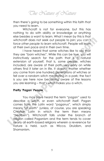*The Nature of Nature* 

then there's going to be something within this faith that you need to learn.

Witchcraft is not for everyone, but this has nothing to do with ability or knowledge or anything else besides a want to learn. What I mean by this is that witchcraft does not seek out people to join; *you can't force other people to learn witchcraft*. People will learn at their own pace and in their own time.

I have heard that some witches like to say that they are "born witches". While this can be true, you will instinctively search for the path that is a natural extension of yourself, that is, some people, witches included, are aware of their path very early on while others find it later on in life. It doesn't matter whether you come from one hundred generations of witches or fell over a random witch meditating in a park; the fact is you are here now becoming aware of the lessons you are learning – that's what makes you a witch.

# **Pretty 'Pagan' People**

 You may have heard the term "pagan" used to describe a witch, or even witchcraft itself. Pagan comes from the Latin word "paganus", which simply means "of earth" (unless, of course, you are speaking Christian Latin in which the term then means "heathen"). Witchcraft falls under the branch of religion called Paganism and the term tends to cover nearly all earth-based religions wherein a reverence for nature is held, such as Wicca, Druidism, and Shamanism.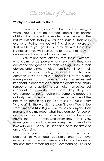*The Nature of Nature* 

#### **Witchy Dos and Witchy Don'ts**

There is no "power" to be found in being a witch. You will not be granted special gifts and/or abilities, but you will be made more aware of the natural instincts, both physical and spiritual, that lie in everyone. Further on you will find different exercises that will help you get back in touch with these lost instincts and you will soon come to realise that "power" only exists in the minds of the insecure.

You might have already met these "witches" who claim to be powerful and say that they can command the gods to do their bidding! Despite their obvious entertainment value there is very little in their craft that is about finding personal truth. Use your common sense and take a good look at the extent some people go to in order to make themselves feel important. It becomes clear that the greater the length someone has to go to in order make themselves feel important or powerful, the more likely they are overcompensating for feeling the complete opposite. I actually met someone that claimed to be one of the last three remaining High Priestesses of Welsh Fairy Witchcraft in the world! She wasn't even Welsh! See what I mean?! **NEVER** give any money to anyone that makes big claims about what they can get for you or do to you. Just like all other areas in life there are frauds. There are people who claim they can kill you, make you powerful, or make everyone fall madly in love with you – use your intuition and never be afraid of anyone's claims.

So if you are brand new to the witchcraft bookshelf at your local bookstore and you have recently met someone there who claims to be one of the only three remaining High Commanding Priests of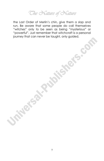*The Nature of Nature* 

the Last Order of Merlin's chin, give them a slap and run. Be aware that some people do call themselves "witches" only to be seen as being "mysterious" or "powerful". Just remember that witchcraft is a personal journey that can never be taught, only guided.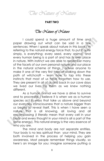*The Nature of Nature* 

#### **PART TWO**

# *The Nature of Nature*

 I could spend a huge amount of time and paper drawing out what can be said in a few sentences: When I speak about nature in this book I'm referring to the natural energy force that, to put it quite simply, is everything: every seed, every animal, and every human being is a part of and has its own place in nature. With instinct we are able to remember many of the facets of our own personal nature and our place in the natural scheme of things. I advise anyone to make it one of the very first tasks of walking down the path of witchcraft – learn how to tap into these instincts that most of us have forgotten how to use. They are present in all of us and back in our cave days we lived our lives by them as we knew nothing different.

As a human animal we have a drive to survive and to procreate. I believe it is when we as a human species act in ways that take us above and beyond our everyday consciousness that a nature bigger than us begins to reveal itself. This is when I have seen a nature that is all knowing, all loving and all encompassing (I literally mean that every cell in your body and every thought in your mind is all a part of the same energy). This natural energy is the very essence of who you are.

The mind and body are not separate entities. Your body is no less spiritual than your mind. They are both involved in the process of helping you gain awareness. Most people remember things visually, so here's an image for you: imagine someone putting a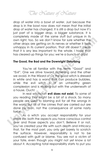*The Nature of Nature* 

drop of water into a bowl of water. Just because the drop is in the bowl now does not mean that the initial drop of water has changed. It is still a drop but now it's just part of a bigger drop, a bigger substance. It is completely made of the same stuff but unique in its own right, too. So we don't know for sure whether the other drops are getting on its nerves or whether it feels unhappy in its current position. That still doesn't mean that it is any less important to the whole. I hope that has cleared up things for you; we're a bunch of drips!

# **The Good, the Bad and the Downright Disturbing**

 You're all familiar with the terms "Good" and "Evil". One we strive toward achieving and the other we avoid. In the *Wizard of Oz* the good witch is dressed in white and has a wand that can produce bubbles, while the evil witch is of an unhealthy green complexion and is making out with the underneath of a house. Ouch!

In real witchcraft **evil does not exist.** To some of you reading that might be a bit of a shock. So many people are used to blaming evil for all the wrongs in the world but all of the crimes that are carried out are done by man, not the consequence of some nasty force.

 As a witch you accept responsibility for your entire life; both the aspects you have conscious control over and those aspects you don't. Believe it or not, you've created your life with such depth and intricacy that, for the most part, you only get barely to scratch the surface. However, responsibility is not to be confused with guilt or blame. You are not a victim of your fate, even though you might not yet know a lot about it. Accepting total responsibility starts to put you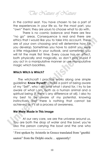*The Nature of Nature* 

in the control seat. You have chosen to be a part of the experiences in your life so, for the most part, you "own" them; they are yours to choose what to do with.

There is no cosmic balance and there are few "no go" areas. Consequence is real and there are ethics that I would like you to take into account. These are of your own choosing and will determine how far you develop. Sometimes you have to admit you were a little misguided in your outlook, and sometimes you will hit the mark first time. Every cause has an effect, both physically and magically, so don't play stupid if you act in a manipulative manner or use manipulative magic which backfires.

#### **Which Witch is Which?**

 The witchcraft I practice works along one simple guideline: **Know thyself!1** I make a point of being aware of my "Self", who I am and what I stand for. I try to be aware of what I am, both as a human animal and a spiritual being (if there's any difference at all). I also try my best to be aware of my potential, knowing instinctively that there is nothing that cannot be achieved as it's all a process of awareness.

#### **We Were Made in This Image**

l

At our very core, we are the universe around us. You are both the drop of water and the bowl; you're also the person carrying the bowl and the one who

<sup>1</sup> First spoken by Aristotle in Greece translated from "gnothii

sauton" from the Delphi oracle... apparently!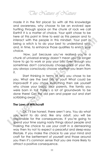*The Nature of Nature* 

made it in the first place! So with all this knowledge and awareness, why choose to be an evolved ape hurtling through space on the chunk of rock we call Earth? It is a matter of choice. Your spirit chose to be here at this point in time to exist as this person and to interact with the people in this mindset. Your part in being a witch is to do your best to understand why, and, in time, to enhance those qualities to enrich your choice.

 Now, just because you've realised you're a chunk of universal energy doesn't mean you no longer have to go to work or pay your bills! Even though you sometimes don't consciously choose parts of your life, you always consciously choose whether you learn from it.

Start thinking in terms of why you chose to be you. What are the best bits of you? What could be improved? If you chose everything then ask yourself why chose your body, your parents, the family you were born in to? There's a lot of groundwork to be done there! Get the old pen and paper out and start scribbling away.

# **The Laws of Witchcraft**

 Ok, I'll be honest, there aren't any. You do what you want to do and, like any adult, you will be responsible for the consequences. If you're going to spend your time saying nasty things about people and making the choice to use your craft in a demeaning way then try not to expect a peaceful and sleep-easy lifestyle. If you make the choice to use your mind and craft for the betterment of yourself and those around you then it's common sense that you are more likely to attract a positive consequence.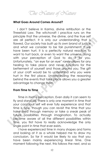# *The Nature of Nature*

# **What Goes Around Comes Around?**

 I don't believe in Karma, divine retribution or the Threefold Law. The witchcraft I practice runs on the principle that the universe, the divine, and the true self are all perfect. It is only our understanding that is flawed. Our society has built up its own brand of justice and what we consider to be fair punishment! If we have been hurt, it is a perfectly natural reaction to want to hurt back, or even to want the universe along with your perception of God to do it for you. Unfortunately, "an eye for an eye" rarely allows for any healing to take place and never functions for the betterment of yourself and those around you. The gift of your craft would be to understand why you were hurt in the first place. Understanding the reasoning behind the events that take place allows you a greater advantage to change them.

# **From Time to Time**

 Time in itself is perception. Even daily it can seem to fly and stand still. There is only one moment in time that your conscious self will ever fully experience and that time is now, though you can revisit the time that you have lived through memory or take a sneak peak of future possibilities through imagination. To actually become aware of all the different possibilities within time, you first have to really acknowledge the only single point in time that ever exists.

 I have experienced time in many shapes and forms and looking at it as a whole helped me to draw my conclusion. So far it would be likely to say that you have been mainly experiencing linear time. One moment following the next, this follows the next, and so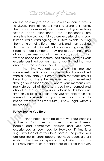*The Nature of Nature* 

on. The best way to describe how I experience time is to visually think of yourself walking along a timeline, then stand completely still. Instead of you walking toward each experience, the experiences are travelling toward you. All you are experiencing is your human brain cataloguing your life's events, putting them all into their different moments and then labelling them with a date! So, instead of you walking down the street to meet someone, they are already there and always have been standing next to you, you just didn't want to notice them before. You already have all your experiences lined up right next to you, it is just that you only notice the ones you need.

That time you got really angry, the time you were upset, the time you laughed so hard you spilt red wine directly onto your crotch; those moments are still here. Most of these life experiences can be relived through your subconscious; where your memories are really stored, all of the lessons you have learned and also all of the lessons you are about to. It's because time only exists as a single point you are able to unlock some of the events that you haven't yet chosen to notice (what we call the future!). Phew…right, where's my cuppa… .

# **Fancy Seeing You Here!**

Reincarnation is the belief that your soul chooses to live on Earth over and over again as different people and, sometimes, animals until you have experienced all you need to. However, if time is a singularity then all of your lives, both as the person you are and the different people you have been, are still existing. The lives you spent in Egypt, Africa, and, as luck may have it, as a goldfish are all still ticking over.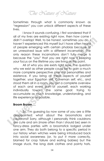*The Nature of Nature* 

Sometimes through what is commonly known as "regression" you can unlock different aspects of these lives.

I know it sounds confusing. I first wondered that if all of my lives are existing right now, then how come I didn't overlap! Well, to be honest, sometimes you do. I haven't experienced this myself but I have often heard of people emerging with certain phobias because of an unresolved issue with a different incarnation. The only reason these incarnations don't fully merge is because the "you" that you are right now is keeping your focus on the lifetime you are living at this point.

All of who you are exists right now. The question why we exist as other people could be to gain a much more complete perspective over our personalities and existence. If you bring all these aspects of yourself together, your Egyptian self, Caveman self, etc., and stood them all in a room, you get a complete overview of each and every part of yourself, each working individually toward the same goal: trying to accumulate as much knowledge, understanding, and life experience as possible.

# **Broom Broom….**

So, I'm guessing by now some of you are a little disappointed: what about the broomsticks and cauldrons? Sorry, although I personally think cauldrons are cute and am (more often than I should be) seen in fancy-dress parties with a broomstick lodged under one arm. They do both belong to a specific period in our history when witches were being introduced back into social awareness (or, to put it more correctly, blamed for crop failure and eating babies) but the image stuck, the long dark clothes and pointy hats.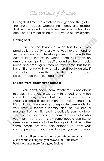*The Nature of Nature* 

During that time, mass hysteria had gripped the globe, the church leaders wanted the money and respect that people gave to the witches. We all know how that one went so I'm not going to give you a history lesson2.

# **Getting Stuff**

l

One of the lessons a witch has to put into practice is the ability to use what you have at hand to teach, express, and develop yourself. I know with the current large interest in Wicca there has been an emphasis on gaining specific candles, herbs, tools, robes, and creating a witch or craft name, but these have little to do with what witchcraft really entails. If you really want them then have them but don't ever be convinced that you need them!

# **(A Little Word about Witch Names)**

You don't need them. Witchcraft is not about role-play. I strongly disagree with choosing a witch name for many reasons but the main one is that it creates a sense of detachment from your normal self. It's as if you are creating a separate personality for your craft, a separate identity, and, as I've said, a major part of the witchcraft I practice is learning about who you are, not creating a themed role-play for who you might like to be. I know some people also like to dress up in ceremonial robes that, again, I dislike for the same reason that they help distance you from your normal persona. If you want to open yourself to what

<sup>&</sup>lt;sup>2</sup> I couldn't tell you a lot without regurgitating someone else's work so I suggest you browse the Witchcraft bookshelf once more for a good look at it.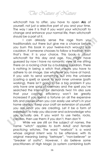*The Nature of Nature* 

witchcraft has to offer, you have to open **ALL** of yourself, not just a selective part of you and your time. The way I see it is that if you want your witchcraft to change and enhance your normal life, then witchcraft should be a part of it.

I can already sense the rage from you traditionalists out there but give me a chance before you burn this book in your twelve-inch wrought iron cauldron. If someone chooses to follow a tradition then that's fine; it is your choice. This book is about witchcraft for this day and age. You might have guessed by now I have no romantic view of me sitting there on a rocking chair by a bubbling cauldron. There is nothing in being a witch that means you have to adhere to an image. Use whatever you have at hand. If you wish to send something out into the universe (casting a spell) or speak to your inner universe (path working), there isn't going to be a big problem if you only have one sprig of rosemary and the spell you've searched the Internet for demands two! I'm also sure that your castings efficiency won't be greatly increased if you spend a fortune on all the expensive bits and pieces when you can easily use what's in your home already. Keep your craft an extension of yourself; you are what you are creating. Let it be a form of expression to help you discover and acknowledge who you actually are. If you want to use herbs, rocks, candles, then use them; if you don't, then don't!

 While we are still on the subject of names, the name "witch" applies *to both MALE and female practicing witches*. The word "warlock" is a word whose original intent was to be offensive; with its original meaning being "betrayer", "non-believer" or "breaker of oaths". However, I do believe some practitioners of High Magic (a system combining both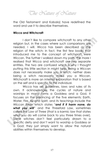*The Nature of Nature* 

the Old Testament and Kabala) have redefined the word and use it to describe themselves.

#### **Wicca and Witchcraft**

I don't like to compare witchcraft to any other religion but, in the cases where such comparisons are needed, I will. Wicca has been described as the religion of the witch; in fact, the first few books that introduced me to the concept of witchcraft were Wiccan. The further I walked down my path, the more I realised that Wicca and witchcraft are two separate entities. The two are confused which is why I thought putting this little section in might help. Being a Wiccan does not necessarily make you a witch; neither does being a witch necessarily make you a Wiccan. Witchcraft is more an internal exploration that is based on the self and is specific to the individual.

Wicca has set guidelines, laws and rules of its own. It acknowledges the cycles of nature and worships in many forms a Goddess and a God. It focuses on the balancing of the five elements: Earth, Water, Fire, Air and Spirit, and its teachings include the *Wiccan Rede* which states "*and if it harm none, do what you will*" and the Threefold Law, sometimes called the Law of Three (that is a karmic law that states what you do will come back to you three times over). Some witches don't feel particularly drawn to a specific deity and don't want to worship a Goddess or a God; they just simply want to allow the natural abilities within themselves to develop.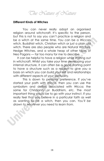*The Nature of Nature* 

#### **Different Kinds of Witches**

You can never really adopt an organised religion around witchcraft. It's specific to the person, but this is not to say you can't practice a religion and be a witch at the same time. You can be a Wiccan witch, Buddhist witch, Christian witch or just a plain old witch. There are also people who are Natural Witches, Hedge Witches, and a whole heap of other types of Neo Pagans — far too many for me to describe.

 It can be helpful to have a religion while starting out in witchcraft. Whilst you take your time developing your internal structure, it can often be a good starting point to have a structure such as a religion to give you a basis on which you can build your self and relationships with different aspects of your spirituality.

This is down to personal preference. If you've started your path with Wicca, then you can use the symbolism and deities associated with Wicca; the same for Christianity or Buddhism, etc. The most important thing would be to go with your instinct. If you really feel that you believe in a particular faith as well as wanting to be a witch, then you can. *You'll be drawn to whatever you need to learn from.*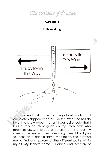*The Nature of Nature* 

# **PART THREE**

# **Path Working**



When I first started reading about witchcraft I completely skipped chapters like this. What the hell do I want to know about me for? I was quite lucky that I had a very persistent guide on my witch path who rarely let up. She forced chapters like this under my nose and, when I was nearly sending myself blind trying to focus on a candle flame meditation, she allowed me to find and explore all the different paths within myself. My friend's name is Debbie and her way of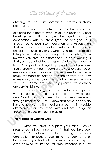*The Nature of Nature* 

allowing you to learn sometimes involves a sharp pointy stick!

Path working is a term used for the process of exploring the different avenues of your personality and belief systems. It can also be used to make connections with different types of energies. It is through using tools like meditation and visualisation that we come into contact with all the different aspects of ourselves. This is where you meet all of the little pieces, beliefs, and thoughts that, in total, make up who you are! The difference with path working is that you meet all of these "aspects" of yourself face to face! An aspect is a tangible, physical part of your spirit that is usually formed through a previous experience or emotional state. They can also be passed down from family members as learned personality traits and they make up your day-to-day personality in every decision you make. Some are extremely positive whilst others are very inhibiting.

 To be able to get in contact with these aspects, you are going to have to start learning how to "get quiet" and listen to yourself. This can be done easily through meditation. Now I know that some people do have a problem with meditating but I will provide alternatives. For now, work with and have a go at these techniques on "getting quiet".

# **The Process of Getting Quiet**

 When you start to explore your mind, I can't stress enough how important it is that you take your time. You're about to be making conscious connections to parts of your mind that you've never been aware you had, let alone using, so don't expect overwhelming results the first time. Patience is a key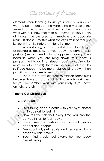*The Nature of Nature* 

element when learning to use your talents; you don't want to burn them out. The mind is like a muscle in the sense that the more you work with it, the more you can work with it! I know that with our current society's train of thought we are used to immediate and accurate results. It doesn't matter what society's train of thought is; your mind, like nature, will take its time.

When starting on any meditation it is best to get as relaxed as possible. Put your body in a comfortable position (I recommend sitting as opposed to lying down because when you are lying down your body is programmed to go into "sleep mode" so you're a lot more likely to nod off). There are no hard and fast rules so if you happen to be more relaxed lying down, then go with what you feel is best.

There are a few different relaxation techniques below so have a go at each to find which works best for you. Remember, work with your body; if you have an itch, scratch it!

# **Time to Get Chilled out!**

*Getting heavy* 

- Start taking deep breaths with your eyes closed until you start to feel still
- Now tell yourself that every time you breathe out you'll start to feel heavier
- Every time you exhale feel yourself sinking deeper and deeper
- Feel your body get heavier and heavier until you physically can't move
- Your mind should feel awake but your body almost asleep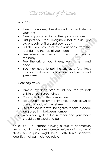*The Nature of Nature* 

# *A bubble*

- Take a few deep breaths and concentrate on your toes
- Take all your attention to the tips of your toes
- Just past your toes, imagine a ball of blue light big enough to fit around your body
- Pull the blue orb up all over your body, from the toes right to the top of your head
- Feel where the blue orb is at each segment of the body
- Feel the orb at your knees, waist, chest, and head
- You may need to pull the orb up a few times until you feel every inch of your body relax and slow down.

*Counting down* 

- Take a few deep breaths until you feel yourself sink into your surroundings
- Concentrate on the number ten
- Tell yourself that by the time you count down to one your body will be relaxed
- Start the countdown, being sure to take a deep, long breath in between numbers
- When you get to the number one your body should be relaxed and calm

Quick tip ~~> Perhaps drinking a cup of chamomile tea or burning lavender incense before doing some of these techniques might help. Both have sedative qualities that can help you relax.